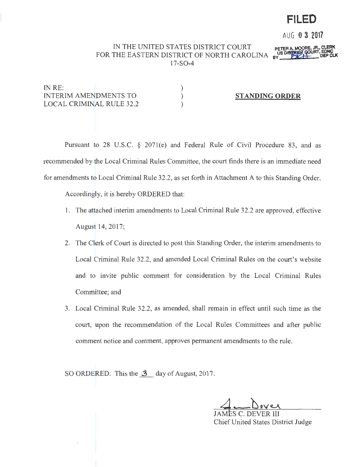# **FILED**

AUG **0 3 <sup>2017</sup>**

# IN THE UNITED STATES DISTRICT COURT FOR THE EASTERN DISTRICT OF NORTH CAROLINA 17-S0-4

) ) )

IN RE: INTERIM AMENDMENTS TO LOCAL CRIMINAL RULE 32.2

# **STANDING ORDER**

Pursuant to 28 U.S.C. § 2071(e) and Federal Rule of Civil Procedure 83, and as recommended by the Local Criminal Rules Committee, the court finds there is an immediate need for amendments to Local Criminal Rule 32.2, as set forth in Attachment A to this Standing Order.

Accordingly, it is hereby ORDERED that:

- 1. The attached interim amendments to Local Criminal Rule 32.2 are approved, effective August 14, 2017;
- 2. The Clerk of Court is directed to post this Standing Order, the interim amendments to Local Criminal Rule 32.2, and amended Local Criminal Rules on the court's website and to invite public comment for consideration by the Local Criminal Rules Committee; and
- 3. Local Criminal Rule 32.2, as amended, shall remain in effect until such time as the court, upon the recommendation of the Local Rules Committees and after public comment notice and comment, approves permanent amendments to the rule.

SO ORDERED. This the  $\mathbf{3}$  day of August, 2017.

JAMES C. DEVER III Chief United States District Judge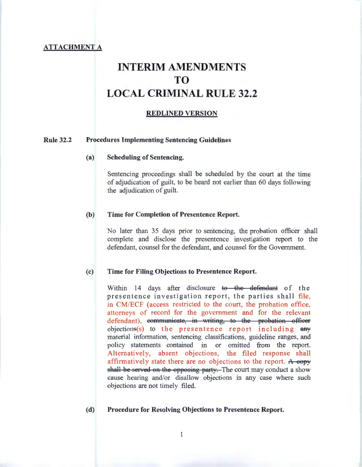# **ATTACHMENT A**

# **INTERIM AMENDMENTS TO LOCAL CRIMINAL RULE 32.2**

#### **REDLINED VERSION**

#### **Rule 32.2 Procedures Implementing Sentencing Guidelines**

#### (a) **Scheduling of Sentencing.**

Sentencing proceedings shall be scheduled by the court at the time of adjudication of guilt, to be heard not earlier than 60 days following the adjudication of guilt.

#### **(b) Time for Completion of Presentence Report.**

No later than 35 days prior to sentencing, the probation officer shall complete and disclose the presentence investigation report to the defendant, counsel for the defendant, and counsel for the Government.

#### (c) **Time for Filing Objections to Presentence Report.**

Within 14 days after disclosure to the defendant of the presentence investigation report, the parties shall file, in CM/ECF (access restricted to the court, the probation office, attorneys of record for the government and for the relevant defendant), eommunicate, in writing, to the probation officer objections(s) to the presentence report including  $\frac{any}{ }$ material information, sentencing classifications, guideline ranges, and policy statements contained in or omitted from the report. Alternatively, absent objections, the filed response shall affirmatively state there are no objections to the report. A copy shall be served on the opposing party. The court may conduct a show cause hearing and/or disallow objections in any case where such objections are not timely filed.

#### **(d) Procedure for Resolving Objections to Presentence Report.**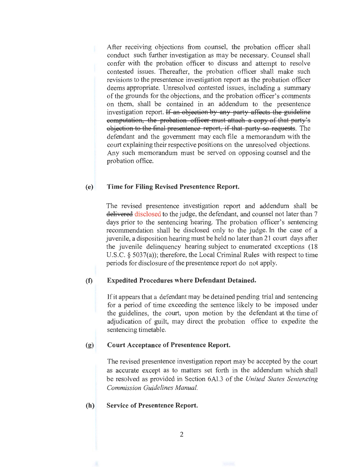After receiving objections from counsel, the probation officer shall conduct such further investigation as may be necessary. Counsel shall confer with the probation officer to discuss and attempt to resolve contested issues. Thereafter, the probation officer shall make such revisions to the presentence investigation report as the probation officer deems appropriate. Unresolved contested issues, including a summary of the grounds for the objections, and the probation officer's comments on them, shall be contained in an addendum to the presentence investigation report. If an objection by any party affects the guideline eomputation, the probation officer must attach a copy of that party's objection to the final presentence report, if that party so requests. The defendant and the government may each file a memorandum with the court explaining their respective positions on the unresolved objections. Any such memorandum must be served on opposing counsel and the probation office.

#### (e) Time for Filing Revised Presentence Report.

The revised presentence investigation report and addendum shall be delivered disclosed to the judge, the defendant, and counsel not later than 7 days prior to the sentencing hearing. The probation officer's sentencing recommendation shall be disclosed only to the judge. In the case of a juvenile, a disposition hearing must be held no later than 21 court days after the juvenile delinquency hearing subject to enumerated exceptions (18 U.S.C. § 5037(a)); therefore, the Local Criminal Rules with respect to time periods for disclosure of the presentence report do not apply.

#### (f) Expedited Procedures where Defendant Detained.

If it appears that a defendant may be detained pending trial and sentencing for a period of time exceeding the sentence likely to be imposed under the guidelines, the court, upon motion by the defendant at the time of adjudication of guilt, may direct the probation office to expedite the sentencing timetable.

#### (g) Court Acceptance of Presentence Report.

The revised presentence investigation report may be accepted by the court as accurate except as to matters set forth in the addendum which shall be resolved as provided in Section 6Al.3 of the *United States Sentencing Commission Guidelines Manual.* 

#### (h) Service of Presentence Report.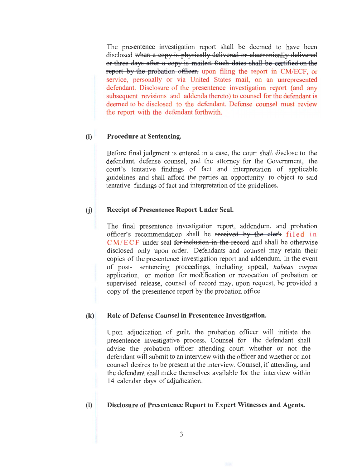The presentence investigation report shall be deemed to have been disclosed when a copy is physically delivered or electronically delivered or three days after a copy is mailed. Such dates shall be certified on the report by the probation officer. upon filing the report in CM/ECF, or service, personally or via United States mail, on an unrepresented defendant. Disclosure of the presentence investigation report (and any subsequent revisions and addenda thereto) to counsel for the defendant is deemed to be disclosed to the defendant. Defense counsel must review the report with the defendant forthwith.

## (i) Procedure at Sentencing.

Before final judgment is entered in a case, the court shall disclose to the defendant, defense counsel, and the attorney for the Government, the court's tentative findings of fact and interpretation of applicable guidelines and shall afford the parties an opportunity to object to said tentative findings of fact and interpretation of the guidelines.

#### (j) Receipt of Presentence Report Under Seal.

The final presentence investigation report, addendum, and probation officer's recommendation shall be received by the clerk filed in  $CM/ECF$  under seal for inclusion in the record and shall be otherwise disclosed only upon order. Defendants and counsel may retain their copies of the presentence investigation report and addendum. In the event of post- sentencing proceedings, including appeal, *habeas corpus*  application, or motion for modification or revocation of probation or supervised release, counsel of record may, upon request, be provided a copy of the presentence report by the probation office.

#### (k) Role of Defense Counsel in Presentence Investigation.

Upon adjudication of guilt, the probation officer will initiate the presentence investigative process. Counsel for the defendant shall advise the probation officer attending court whether or not the defendant will submit to an interview with the officer and whether or not counsel desires to be present at the interview. Counsel, if attending, and the defendant shall make themselves available for the interview within 14 calendar days of adjudication.

#### (I) Disclosure of Presentence Report to Expert Witnesses and Agents.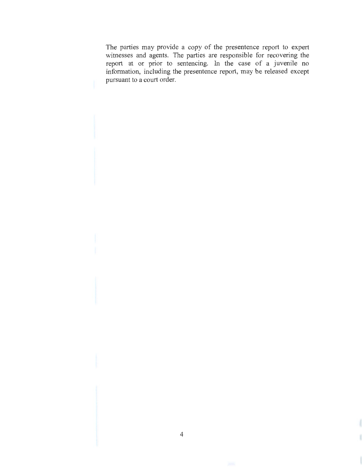The parties may provide a copy of the presentence report to expert witnesses and agents. The parties are responsible for recovering the report at or prior to sentencing. In the case of a juvenile no information, including the presentence report, may be released except pursuant to a court order.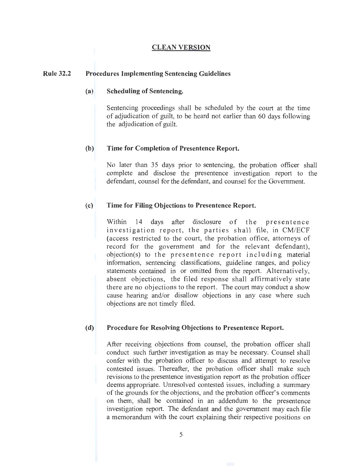#### **CLEAN VERSION**

#### **Rule 32.2 Procedures Implementing Sentencing Guidelines**

### **(a) Scheduling of Sentencing.**

Sentencing proceedings shall be scheduled by the court at the time of adjudication of guilt, to be heard not earlier than 60 days following the adjudication of guilt.

#### **(b) Time for Completion of Presentence Report.**

No later than 35 days prior to sentencing, the probation officer shall complete and disclose the presentence investigation report to the defendant, counsel for the defendant, and counsel for the Government.

#### (c) **Time for Filing Objections to Presentence Report.**

Within 14 days after disclosure of the presentence investigation report, the parties shall file, in CM/ECF (access restricted to the court, the probation office, attorneys of record for the government and for the relevant defendant), objection(s) to the presentence report including material information, sentencing classifications, guideline ranges, and policy statements contained in or omitted from the report. Alternatively, absent objections, the filed response shall affirmatively state there are no objections to the report. The court may conduct a show cause hearing and/or disallow objections in any case where such objections are not timely filed.

#### **(d) Procedure for Resolving Objections to Presentence Report.**

After receiving objections from counsel, the probation officer shall conduct such further investigation as may be necessary. Counsel shall confer with the probation officer to discuss and attempt to resolve contested issues. Thereafter, the probation officer shall make such revisions to the presentence investigation report as the probation officer deems appropriate. Unresolved contested issues, including a summary of the grounds for the objections, and the probation officer's comments on them, shall be contained in an addendum to the presentence investigation report. The defendant and the government may each file a memorandum with the court explaining their respective positions on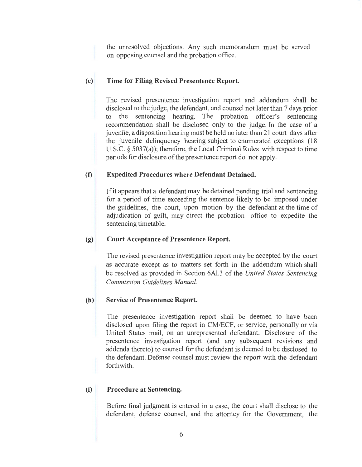the unresolved objections. Any such memorandum must be served on opposing counsel and the probation office.

# (e) **Time for Filing Revised Presentence Report.**

The revised presentence investigation report and addendum shall be disclosed to the judge, the defendant, and counsel not later than 7 days prior to the sentencing hearing. The probation officer's sentencing recommendation shall be disclosed only to the judge. In the case of a juvenile, a disposition hearing must be held no later than 21 court days after the juvenile delinquency hearing subject to enumerated exceptions (18 U.S.C.  $\S$  5037(a)); therefore, the Local Criminal Rules with respect to time periods for disclosure of the presentence report do not apply.

# **(f) Expedited Procedures where Defendant Detained.**

If it appears that a defendant may be detained pending trial and sentencing for a period of time exceeding the sentence likely to be imposed under the guidelines, the court, upon motion by the defendant at the time of adjudication of guilt, may direct the probation office to expedite the sentencing timetable.

# (g) **Court Acceptance of Presentence Report.**

The revised presentence investigation report may be accepted by the court as accurate except as to matters set forth in the addendum which shall be resolved as provided in Section 6Al.3 of the *United States Sentencing Commission Guidelines Manual.* 

# **(h) Service of Presentence Report.**

The presentence investigation report shall be deemed to have been disclosed upon filing the report in CM/ECF, or service, personally or via United States mail, on an unrepresented defendant. Disclosure of the presentence investigation report (and any subsequent revisions and addenda thereto) to counsel for the defendant is deemed to be disclosed to the defendant. Defense counsel must review the report with the defendant forthwith.

# **(i) Procedure at Sentencing.**

Before final judgment is entered in a case, the court shall disclose to the defendant, defense counsel, and the attorney for the Government, the